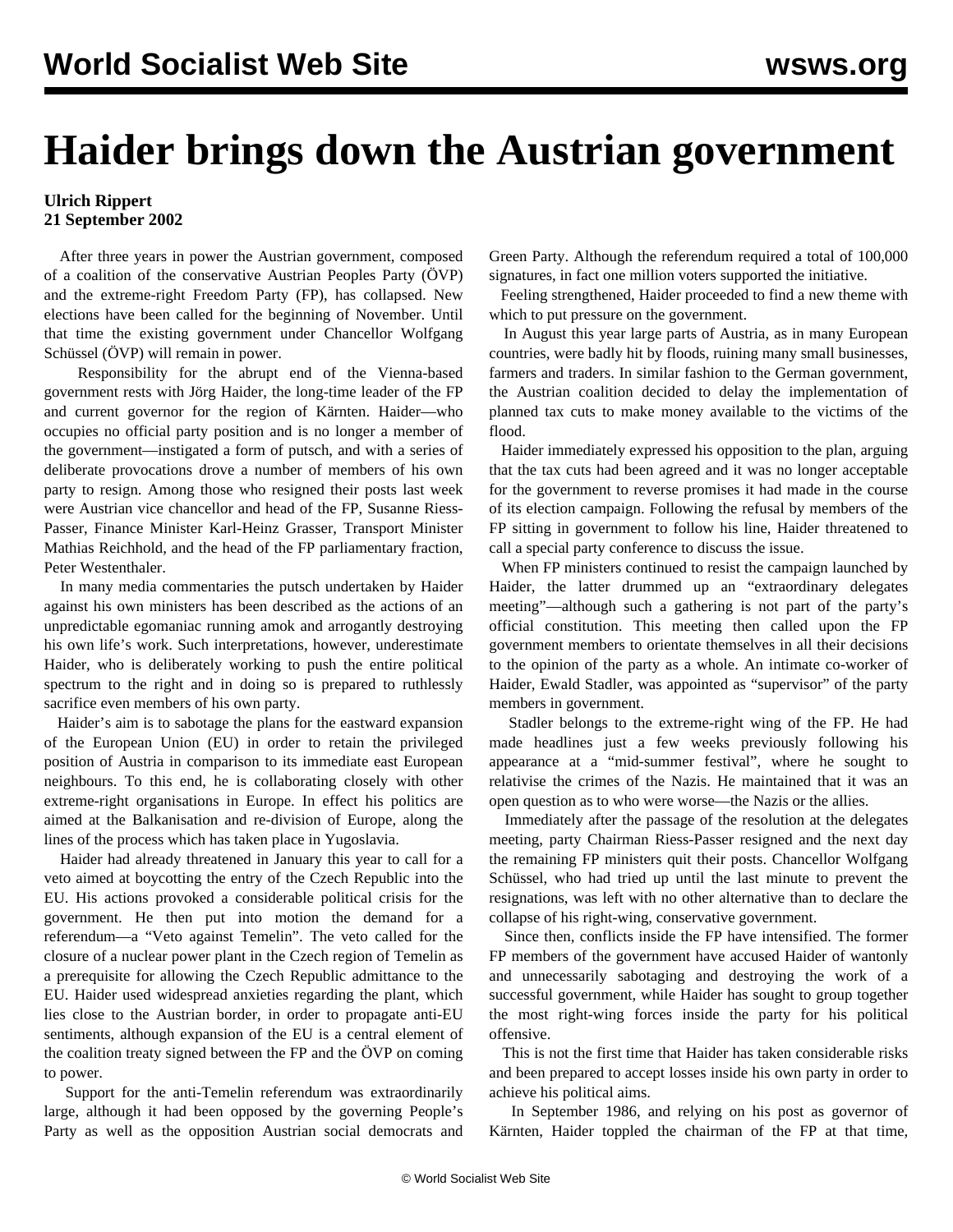## **Haider brings down the Austrian government**

## **Ulrich Rippert 21 September 2002**

 After three years in power the Austrian government, composed of a coalition of the conservative Austrian Peoples Party (ÖVP) and the extreme-right Freedom Party (FP), has collapsed. New elections have been called for the beginning of November. Until that time the existing government under Chancellor Wolfgang Schüssel (ÖVP) will remain in power.

 Responsibility for the abrupt end of the Vienna-based government rests with Jörg Haider, the long-time leader of the FP and current governor for the region of Kärnten. Haider—who occupies no official party position and is no longer a member of the government—instigated a form of putsch, and with a series of deliberate provocations drove a number of members of his own party to resign. Among those who resigned their posts last week were Austrian vice chancellor and head of the FP, Susanne Riess-Passer, Finance Minister Karl-Heinz Grasser, Transport Minister Mathias Reichhold, and the head of the FP parliamentary fraction, Peter Westenthaler.

 In many media commentaries the putsch undertaken by Haider against his own ministers has been described as the actions of an unpredictable egomaniac running amok and arrogantly destroying his own life's work. Such interpretations, however, underestimate Haider, who is deliberately working to push the entire political spectrum to the right and in doing so is prepared to ruthlessly sacrifice even members of his own party.

 Haider's aim is to sabotage the plans for the eastward expansion of the European Union (EU) in order to retain the privileged position of Austria in comparison to its immediate east European neighbours. To this end, he is collaborating closely with other extreme-right organisations in Europe. In effect his politics are aimed at the Balkanisation and re-division of Europe, along the lines of the process which has taken place in Yugoslavia.

 Haider had already threatened in January this year to call for a veto aimed at boycotting the entry of the Czech Republic into the EU. His actions provoked a considerable political crisis for the government. He then put into motion the demand for a referendum—a "Veto against Temelin". The veto called for the closure of a nuclear power plant in the Czech region of Temelin as a prerequisite for allowing the Czech Republic admittance to the EU. Haider used widespread anxieties regarding the plant, which lies close to the Austrian border, in order to propagate anti-EU sentiments, although expansion of the EU is a central element of the coalition treaty signed between the FP and the ÖVP on coming to power.

 Support for the anti-Temelin referendum was extraordinarily large, although it had been opposed by the governing People's Party as well as the opposition Austrian social democrats and Green Party. Although the referendum required a total of 100,000 signatures, in fact one million voters supported the initiative.

 Feeling strengthened, Haider proceeded to find a new theme with which to put pressure on the government.

 In August this year large parts of Austria, as in many European countries, were badly hit by floods, ruining many small businesses, farmers and traders. In similar fashion to the German government, the Austrian coalition decided to delay the implementation of planned tax cuts to make money available to the victims of the flood.

 Haider immediately expressed his opposition to the plan, arguing that the tax cuts had been agreed and it was no longer acceptable for the government to reverse promises it had made in the course of its election campaign. Following the refusal by members of the FP sitting in government to follow his line, Haider threatened to call a special party conference to discuss the issue.

 When FP ministers continued to resist the campaign launched by Haider, the latter drummed up an "extraordinary delegates meeting"—although such a gathering is not part of the party's official constitution. This meeting then called upon the FP government members to orientate themselves in all their decisions to the opinion of the party as a whole. An intimate co-worker of Haider, Ewald Stadler, was appointed as "supervisor" of the party members in government.

 Stadler belongs to the extreme-right wing of the FP. He had made headlines just a few weeks previously following his appearance at a "mid-summer festival", where he sought to relativise the crimes of the Nazis. He maintained that it was an open question as to who were worse—the Nazis or the allies.

 Immediately after the passage of the resolution at the delegates meeting, party Chairman Riess-Passer resigned and the next day the remaining FP ministers quit their posts. Chancellor Wolfgang Schüssel, who had tried up until the last minute to prevent the resignations, was left with no other alternative than to declare the collapse of his right-wing, conservative government.

 Since then, conflicts inside the FP have intensified. The former FP members of the government have accused Haider of wantonly and unnecessarily sabotaging and destroying the work of a successful government, while Haider has sought to group together the most right-wing forces inside the party for his political offensive.

 This is not the first time that Haider has taken considerable risks and been prepared to accept losses inside his own party in order to achieve his political aims.

 In September 1986, and relying on his post as governor of Kärnten, Haider toppled the chairman of the FP at that time,